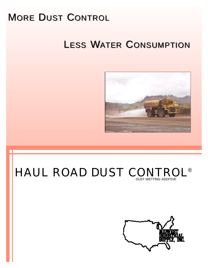# MORE DUST CONTROL

# LESS WATER CONSUMPTION



## HAUL ROAD DUST CONTROL ® DUST WETTING ADDITIVE

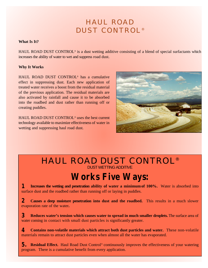## HAUL ROAD DUST CONTROL®

#### **What Is It?**

HAUL ROAD DUST CONTROL® is a dust wetting additive consisting of a blend of special surfactants which increases the ability of water to wet and suppress road dust.

#### **Why It Works**

HAUL ROAD DUST CONTROL ® has a cumulative effect in suppressing dust. Each new application of treated water receives a boost from the residual material of the previous application. The residual materials are also activated by rainfall and cause it to be absorbed into the roadbed and dust rather than running off or creating puddles.

HAUL ROAD DUST CONTROL ® uses the best current technology available to maximize effectiveness of water in wetting and suppressing haul road dust.



### HAUL ROAD DUST CONTROL ® DUST WETTING ADDITIVE

## **Works Five Ways:**

**Increases the wetting and penetration ability of water a minimumof 100%.** Water is absorbed into surface dust and the roadbed rather than running off or laying in puddles. **1**

**Causes a deep moisture penetration into dust and the roadbed.** This results in a much slower evaporation rate of the water**. 2**

**Reduces water's tension which causes water to spread in much smaller droplets.** The surface area of water coming in contact with small dust particles is significantly greater. **3**

**Contains non-volatile materials which attract both dust particles and water.** These non-volatile materials remain to attract dust particles even when almost all the water has evaporated. **4**

**5.** Residual Effect. Haul Road Dust Control® continuously improves the effectiveness of your watering program. There is a cumulative benefit from every application.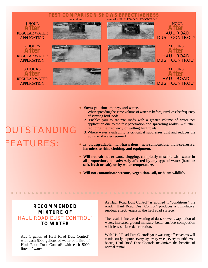

#### **• Saves you time, money, and water.**

- 1. When spreading the same volume of water as before, it reduces the frequency of spraying haul roads.
- 2. Enables you to saturate roads with a greater volume of water per application due to the fast penetration and spreading ability -- further reducing the frequency of wetting haul roads.
- 3. Where water availability is critical, it suppresses dust and reduces the volume of water required.
- <sup>l</sup> **Is biodegradable, non-hazardous, non-combustible, non-corrosive, harmless to skin, clothing, and equipment.**
- **Will not salt out or cause clogging, completely miscible with water in all proportions, not adversely affected by any type of water (hard or soft, fresh or salt), or by water temperature.**
- <sup>l</sup> **Will not contaminate streams, vegetation, soil, or harm wildlife.**

#### **RECOMMENDED MIXTURE OF** HAUL ROAD DUST CONTROL ® **TO WATER**

Add 1 gallon of Haul Road Dust Control ® with each 5000 gallons of water or 1 litre of Haul Road Dust Control ® with each 5000 litres of water

As Haul Road Dust Control ® is applied it "conditions" the road. Haul Road Dust Control ® produces a cumulative, residual effectiveness in the haul road surface.

The result is increased wetting of dust, slower evaporation of water, increased ground moisture, better surface compaction with less surface deterioration.

With Haul Road Dust Control<sup>®</sup> your watering effectiveness will continuously improve everyday, every week, every month! As a bonus, Haul Road Dust Control ® maximizes the benefits of normal rainfall.

# **OUTSTANDING** FEATURES: